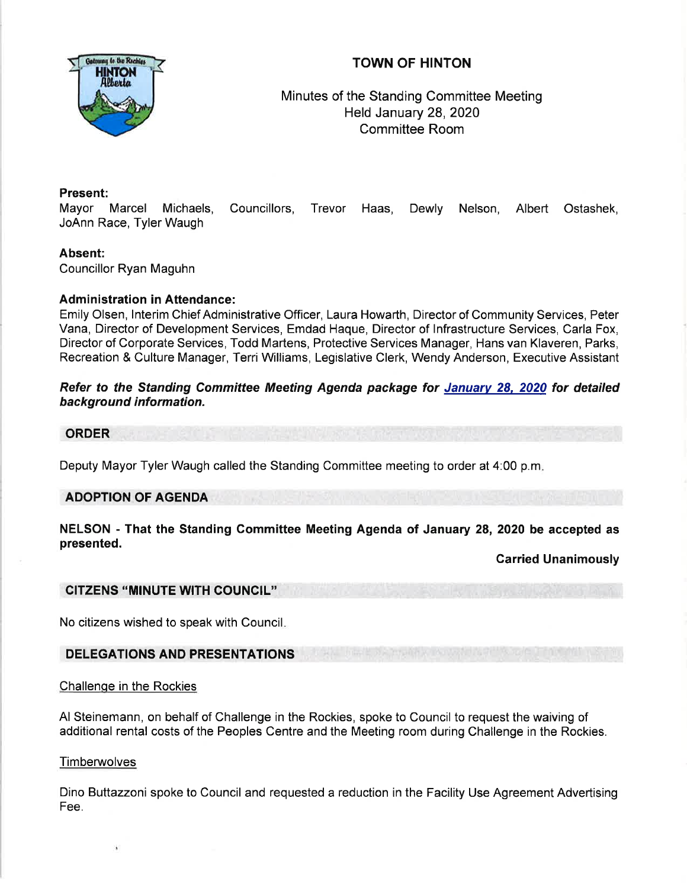

# TOWN OF HINTON

Minutes of the Standing Committee Meeting Held January 28,2020 Committee Room

## Present:

Mayor Marcel Michaels, Councillors, Trevor Haas, Dewly Nelson, Albert Ostashek, JoAnn Race, Tyler Waugh

## Absent:

Councillor Ryan Maguhn

### **Administration in Attendance:**

Emily Olsen, lnterim Chief Administrative Officer, Laura Howarth, Director of Community Services, Peter Vana, Director of Development Services, Emdad Haque, Director of lnfrastructure Services, Carla Fox, Director of Corporate Services, Todd Martens, Protective Services Manager, Hans van Klaveren, Parks, Recreation & Culture Manager, Terri Williams, Legislative Clerk, Wendy Anderson, Executive Assistant

Refer to the Standing Committee Meeting Agenda package for January 28, 2020 for detailed background information.

#### ORDER

Deputy Mayor Tyler Waugh called the Standing Committee meeting to order at 4:00 p.m

## ADOPTION OF AGENDA

NELSON - That the Standing Committee Meeting Agenda of January 28, 2020 be accepted as presented.

### Carried Unanimously

### CITZENS "MINUTE WITH COUNCIL"

No citizens wished to speak with Council

### DELEGATIONS AND PRESENTATIONS

### Challenge in the Rockies

Al Steinemann, on behalf of Challenge in the Rockies, spoke to Council to request the waiving of additional rental costs of the Peoples Centre and the Meeting room during Challenge in the Rockies.

### **Timberwolves**

Dino Buttazzoni spoke to Council and requested a reduction in the Facility Use Agreement Advertising Fee.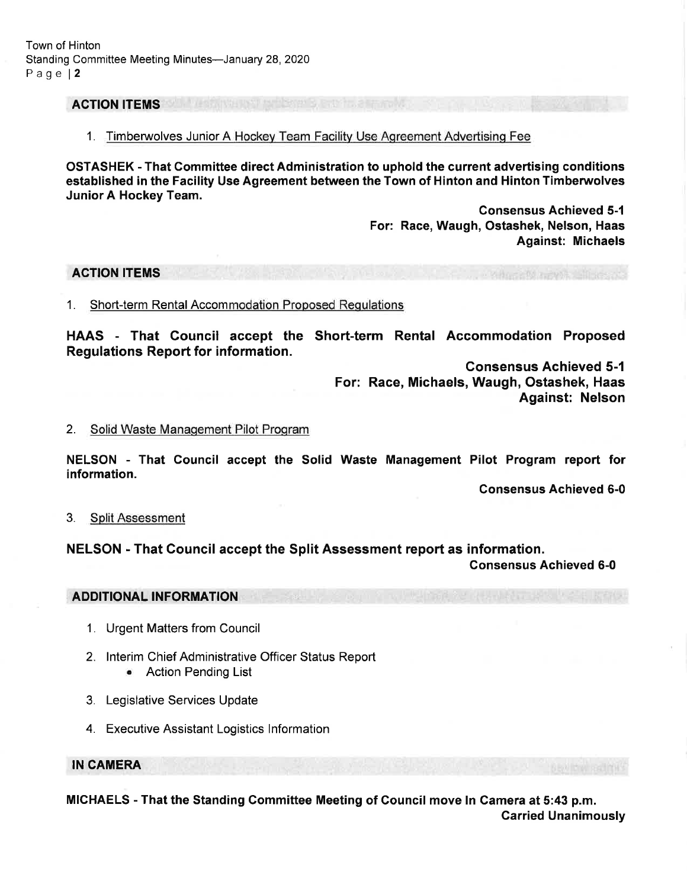Town of Hinton Standing Committee Meeting Minutes-January 28, 2020 Page l2

### ACTION ITEMS

1. Timberwolves Junior A Hockey Team Facility Use Agreement Advertising Fee

OSTASHEK - That Committee direct Administration to uphold the current advertising conditions established in the Facility Use Agreement between the Town of Hinton and Hinton Timberwolves Junior A Hockey Team.

> Gonsensus Achieved 5-1 For: Race, Waugh, Ostashek, Nelson, Haas Against: Michaels

#### ACTION ITEMS

1. Short-term Rental Accommodation Proposed Requlations

HAAS - That Council accept the Short-term Rental Accommodation Proposed Regulations Report for information.

> Gonsensus Achieved 5-1 For: Race, Michaels, Waugh, Ostashek, Haas Against: Nelson

#### 2. Solid Waste Management Pilot Program

NELSON - That Council accept the Solid Waste Management Pilot Program report for information.

Gonsensus Achieved 6-0

3. Split Assessment

NELSON - That Council accept the Split Assessment report as information.

Gonsensus Achieved 6-0

ADDITIONAL INFORMATION

- 1. Urgent Matters from Council
- 2. lnterim Chief Administrative Officer Status Report
	- Action Pending List
- 3. Legislative Services Update
- 4. Executive Assistant Logistics lnformation

IN CAMERA

MICHAELS - That the Standing Gommittee Meeting of Gouncil move In Camera at 5:43 p.m. Garried Unanimously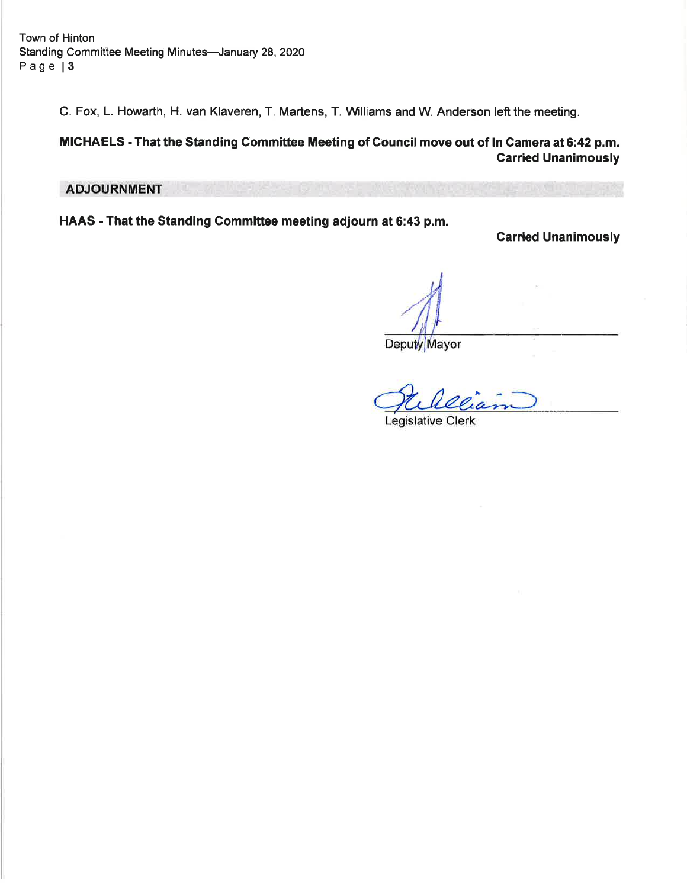C. Fox, L. Howarth, H. van Klaveren, T. Martens, T. Williams and W. Anderson left the meeting.

# MICHAELS - That the Standing Committee Meeting of Gouncil move out of ln Camera at 6:42 p.m. Garried Unanimously

# **ADJOURNMENT**

HAAS - That the Standing Gommittee meeting adjourn at 6:43 p.m.

Carried Unanimously

Deputy Mayor

Legislative Clerk